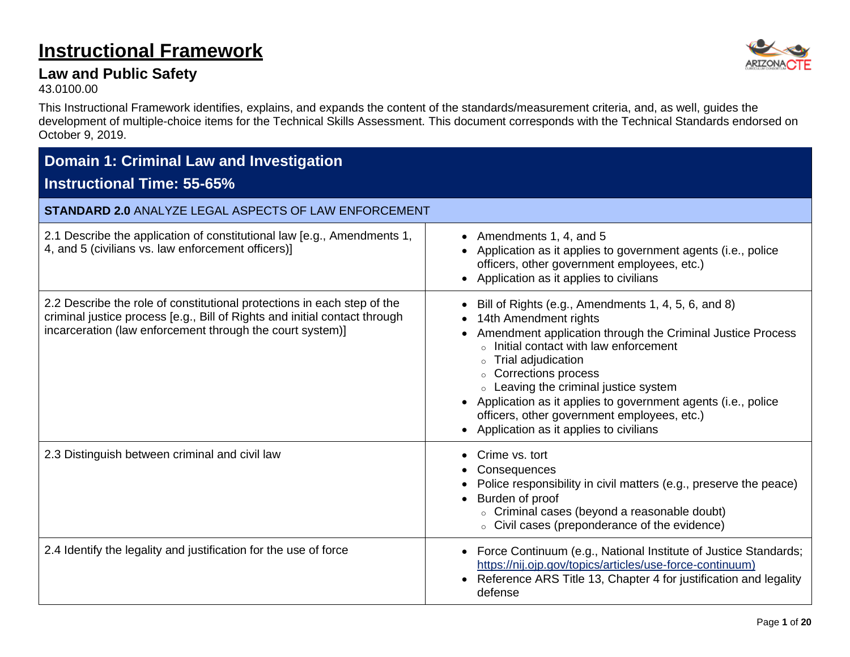## **Instructional Framework**

### **Law and Public Safety**

43.0100.00

This Instructional Framework identifies, explains, and expands the content of the standards/measurement criteria, and, as well, guides the development of multiple-choice items for the Technical Skills Assessment. This document corresponds with the Technical Standards endorsed on October 9, 2019.

| <b>Domain 1: Criminal Law and Investigation</b><br><b>Instructional Time: 55-65%</b>                                                                                                                               |                                                                                                                                                                                                                                                                                                                                                                                                                                         |
|--------------------------------------------------------------------------------------------------------------------------------------------------------------------------------------------------------------------|-----------------------------------------------------------------------------------------------------------------------------------------------------------------------------------------------------------------------------------------------------------------------------------------------------------------------------------------------------------------------------------------------------------------------------------------|
| <b>STANDARD 2.0 ANALYZE LEGAL ASPECTS OF LAW ENFORCEMENT</b>                                                                                                                                                       |                                                                                                                                                                                                                                                                                                                                                                                                                                         |
| 2.1 Describe the application of constitutional law [e.g., Amendments 1,<br>4, and 5 (civilians vs. law enforcement officers)]                                                                                      | Amendments 1, 4, and 5<br>$\bullet$<br>• Application as it applies to government agents (i.e., police<br>officers, other government employees, etc.)<br>• Application as it applies to civilians                                                                                                                                                                                                                                        |
| 2.2 Describe the role of constitutional protections in each step of the<br>criminal justice process [e.g., Bill of Rights and initial contact through<br>incarceration (law enforcement through the court system)] | Bill of Rights (e.g., Amendments 1, 4, 5, 6, and 8)<br>14th Amendment rights<br>Amendment application through the Criminal Justice Process<br>○ Initial contact with law enforcement<br>○ Trial adjudication<br>○ Corrections process<br>○ Leaving the criminal justice system<br>Application as it applies to government agents (i.e., police<br>officers, other government employees, etc.)<br>Application as it applies to civilians |
| 2.3 Distinguish between criminal and civil law                                                                                                                                                                     | Crime vs. tort<br>Consequences<br>Police responsibility in civil matters (e.g., preserve the peace)<br>Burden of proof<br>○ Criminal cases (beyond a reasonable doubt)<br>○ Civil cases (preponderance of the evidence)                                                                                                                                                                                                                 |
| 2.4 Identify the legality and justification for the use of force                                                                                                                                                   | Force Continuum (e.g., National Institute of Justice Standards;<br>$\bullet$<br>https://nij.ojp.gov/topics/articles/use-force-continuum)<br>Reference ARS Title 13, Chapter 4 for justification and legality<br>$\bullet$<br>defense                                                                                                                                                                                                    |

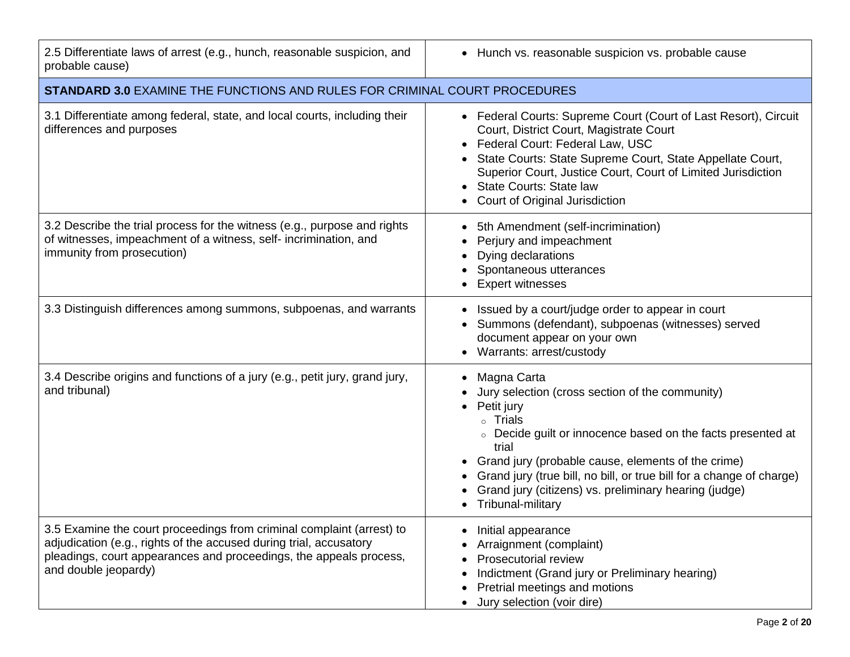| 2.5 Differentiate laws of arrest (e.g., hunch, reasonable suspicion, and<br>probable cause)                                                                                                                                               | • Hunch vs. reasonable suspicion vs. probable cause                                                                                                                                                                                                                                                                                                                          |
|-------------------------------------------------------------------------------------------------------------------------------------------------------------------------------------------------------------------------------------------|------------------------------------------------------------------------------------------------------------------------------------------------------------------------------------------------------------------------------------------------------------------------------------------------------------------------------------------------------------------------------|
| <b>STANDARD 3.0 EXAMINE THE FUNCTIONS AND RULES FOR CRIMINAL COURT PROCEDURES</b>                                                                                                                                                         |                                                                                                                                                                                                                                                                                                                                                                              |
| 3.1 Differentiate among federal, state, and local courts, including their<br>differences and purposes                                                                                                                                     | • Federal Courts: Supreme Court (Court of Last Resort), Circuit<br>Court, District Court, Magistrate Court<br>• Federal Court: Federal Law, USC<br>• State Courts: State Supreme Court, State Appellate Court,<br>Superior Court, Justice Court, Court of Limited Jurisdiction<br><b>State Courts: State law</b><br>Court of Original Jurisdiction                           |
| 3.2 Describe the trial process for the witness (e.g., purpose and rights<br>of witnesses, impeachment of a witness, self- incrimination, and<br>immunity from prosecution)                                                                | 5th Amendment (self-incrimination)<br>Perjury and impeachment<br>Dying declarations<br>Spontaneous utterances<br><b>Expert witnesses</b>                                                                                                                                                                                                                                     |
| 3.3 Distinguish differences among summons, subpoenas, and warrants                                                                                                                                                                        | Issued by a court/judge order to appear in court<br>Summons (defendant), subpoenas (witnesses) served<br>document appear on your own<br>Warrants: arrest/custody                                                                                                                                                                                                             |
| 3.4 Describe origins and functions of a jury (e.g., petit jury, grand jury,<br>and tribunal)                                                                                                                                              | Magna Carta<br>Jury selection (cross section of the community)<br>Petit jury<br>○ Trials<br>○ Decide guilt or innocence based on the facts presented at<br>trial<br>Grand jury (probable cause, elements of the crime)<br>Grand jury (true bill, no bill, or true bill for a change of charge)<br>Grand jury (citizens) vs. preliminary hearing (judge)<br>Tribunal-military |
| 3.5 Examine the court proceedings from criminal complaint (arrest) to<br>adjudication (e.g., rights of the accused during trial, accusatory<br>pleadings, court appearances and proceedings, the appeals process,<br>and double jeopardy) | Initial appearance<br>Arraignment (complaint)<br>Prosecutorial review<br>Indictment (Grand jury or Preliminary hearing)<br>Pretrial meetings and motions<br>Jury selection (voir dire)                                                                                                                                                                                       |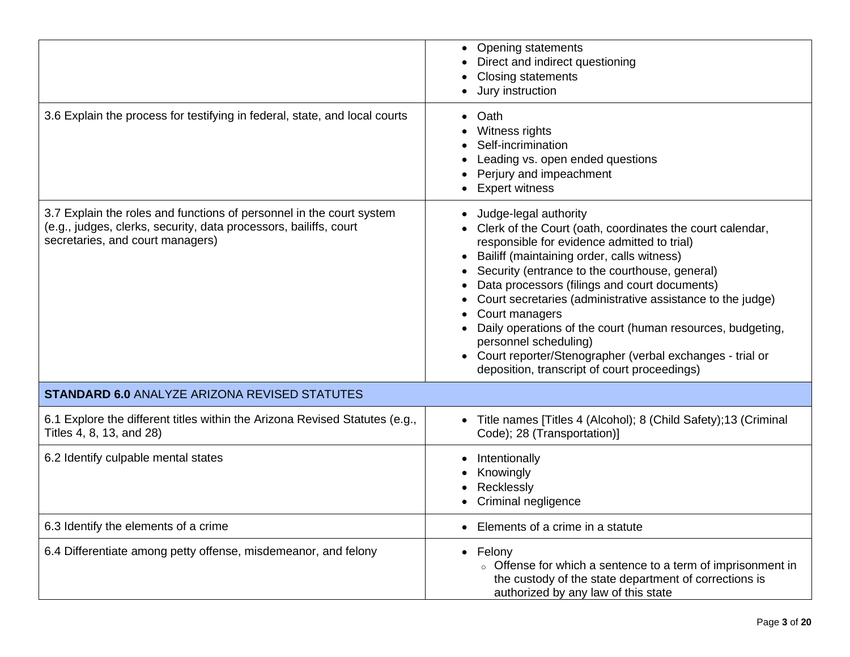|                                                                                                                                                                               | • Opening statements<br>Direct and indirect questioning<br>Closing statements<br>Jury instruction                                                                                                                                                                                                                                                                                                                                                                                                                                                                       |
|-------------------------------------------------------------------------------------------------------------------------------------------------------------------------------|-------------------------------------------------------------------------------------------------------------------------------------------------------------------------------------------------------------------------------------------------------------------------------------------------------------------------------------------------------------------------------------------------------------------------------------------------------------------------------------------------------------------------------------------------------------------------|
| 3.6 Explain the process for testifying in federal, state, and local courts                                                                                                    | Oath<br>$\bullet$<br>Witness rights<br>Self-incrimination<br>Leading vs. open ended questions<br>Perjury and impeachment<br><b>Expert witness</b>                                                                                                                                                                                                                                                                                                                                                                                                                       |
| 3.7 Explain the roles and functions of personnel in the court system<br>(e.g., judges, clerks, security, data processors, bailiffs, court<br>secretaries, and court managers) | Judge-legal authority<br>Clerk of the Court (oath, coordinates the court calendar,<br>responsible for evidence admitted to trial)<br>Bailiff (maintaining order, calls witness)<br>Security (entrance to the courthouse, general)<br>Data processors (filings and court documents)<br>Court secretaries (administrative assistance to the judge)<br>Court managers<br>Daily operations of the court (human resources, budgeting,<br>personnel scheduling)<br>• Court reporter/Stenographer (verbal exchanges - trial or<br>deposition, transcript of court proceedings) |
| <b>STANDARD 6.0 ANALYZE ARIZONA REVISED STATUTES</b>                                                                                                                          |                                                                                                                                                                                                                                                                                                                                                                                                                                                                                                                                                                         |
| 6.1 Explore the different titles within the Arizona Revised Statutes (e.g.,<br>Titles 4, 8, 13, and 28)                                                                       | Title names [Titles 4 (Alcohol); 8 (Child Safety); 13 (Criminal<br>$\bullet$<br>Code); 28 (Transportation)]                                                                                                                                                                                                                                                                                                                                                                                                                                                             |
| 6.2 Identify culpable mental states                                                                                                                                           | Intentionally<br>Knowingly<br>Recklessly<br>Criminal negligence                                                                                                                                                                                                                                                                                                                                                                                                                                                                                                         |
| 6.3 Identify the elements of a crime                                                                                                                                          | Elements of a crime in a statute                                                                                                                                                                                                                                                                                                                                                                                                                                                                                                                                        |
| 6.4 Differentiate among petty offense, misdemeanor, and felony                                                                                                                | • Felony<br>Offense for which a sentence to a term of imprisonment in<br>the custody of the state department of corrections is<br>authorized by any law of this state                                                                                                                                                                                                                                                                                                                                                                                                   |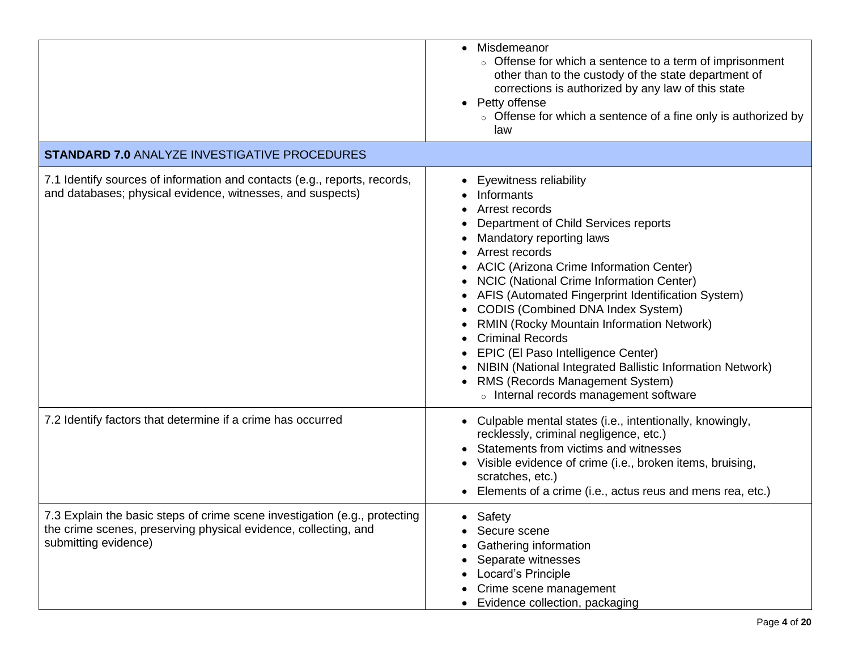|                                                                                                                                                                       | • Misdemeanor<br>• Offense for which a sentence to a term of imprisonment<br>other than to the custody of the state department of<br>corrections is authorized by any law of this state<br>• Petty offense<br>○ Offense for which a sentence of a fine only is authorized by<br>law                                                                                                                                                                                                                                                                                                            |
|-----------------------------------------------------------------------------------------------------------------------------------------------------------------------|------------------------------------------------------------------------------------------------------------------------------------------------------------------------------------------------------------------------------------------------------------------------------------------------------------------------------------------------------------------------------------------------------------------------------------------------------------------------------------------------------------------------------------------------------------------------------------------------|
| <b>STANDARD 7.0 ANALYZE INVESTIGATIVE PROCEDURES</b>                                                                                                                  |                                                                                                                                                                                                                                                                                                                                                                                                                                                                                                                                                                                                |
| 7.1 Identify sources of information and contacts (e.g., reports, records,<br>and databases; physical evidence, witnesses, and suspects)                               | <b>Eyewitness reliability</b><br>Informants<br>Arrest records<br>Department of Child Services reports<br>Mandatory reporting laws<br>Arrest records<br>• ACIC (Arizona Crime Information Center)<br>• NCIC (National Crime Information Center)<br>AFIS (Automated Fingerprint Identification System)<br>• CODIS (Combined DNA Index System)<br>RMIN (Rocky Mountain Information Network)<br>• Criminal Records<br>EPIC (El Paso Intelligence Center)<br>NIBIN (National Integrated Ballistic Information Network)<br>RMS (Records Management System)<br>o Internal records management software |
| 7.2 Identify factors that determine if a crime has occurred                                                                                                           | Culpable mental states (i.e., intentionally, knowingly,<br>recklessly, criminal negligence, etc.)<br>Statements from victims and witnesses<br>Visible evidence of crime (i.e., broken items, bruising,<br>scratches, etc.)<br>Elements of a crime (i.e., actus reus and mens rea, etc.)                                                                                                                                                                                                                                                                                                        |
| 7.3 Explain the basic steps of crime scene investigation (e.g., protecting<br>the crime scenes, preserving physical evidence, collecting, and<br>submitting evidence) | • Safety<br>• Secure scene<br>Gathering information<br>Separate witnesses<br>Locard's Principle<br>Crime scene management<br>Evidence collection, packaging                                                                                                                                                                                                                                                                                                                                                                                                                                    |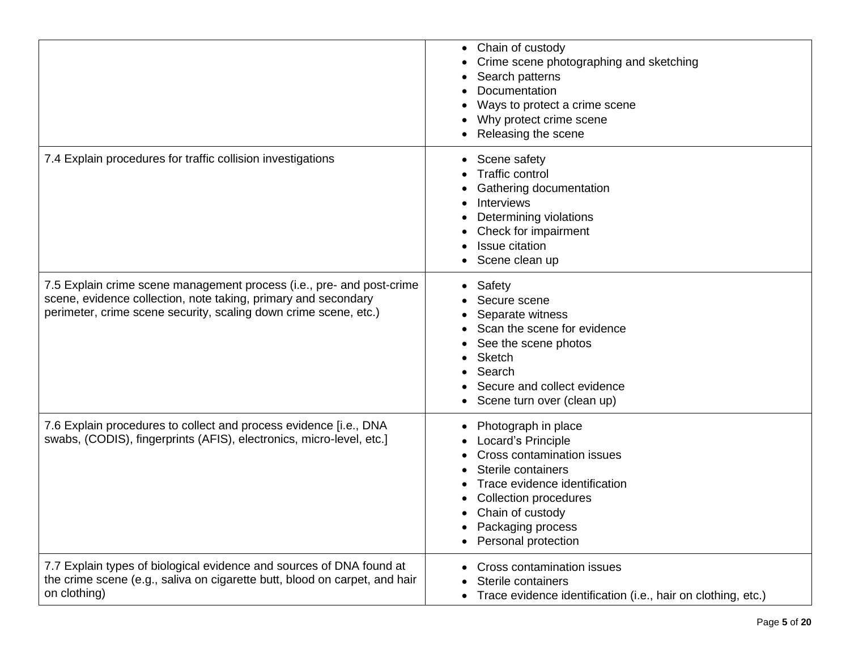|                                                                                                                                                                                                             | • Chain of custody<br>Crime scene photographing and sketching<br>Search patterns<br>Documentation<br>Ways to protect a crime scene<br>Why protect crime scene<br>Releasing the scene                                           |
|-------------------------------------------------------------------------------------------------------------------------------------------------------------------------------------------------------------|--------------------------------------------------------------------------------------------------------------------------------------------------------------------------------------------------------------------------------|
| 7.4 Explain procedures for traffic collision investigations                                                                                                                                                 | Scene safety<br><b>Traffic control</b><br>Gathering documentation<br><b>Interviews</b><br>Determining violations<br>Check for impairment<br><b>Issue citation</b><br>Scene clean up                                            |
| 7.5 Explain crime scene management process (i.e., pre- and post-crime<br>scene, evidence collection, note taking, primary and secondary<br>perimeter, crime scene security, scaling down crime scene, etc.) | Safety<br>$\bullet$<br>Secure scene<br>Separate witness<br>Scan the scene for evidence<br>See the scene photos<br><b>Sketch</b><br>Search<br>Secure and collect evidence<br>Scene turn over (clean up)                         |
| 7.6 Explain procedures to collect and process evidence [i.e., DNA<br>swabs, (CODIS), fingerprints (AFIS), electronics, micro-level, etc.]                                                                   | Photograph in place<br>Locard's Principle<br>Cross contamination issues<br>Sterile containers<br>Trace evidence identification<br><b>Collection procedures</b><br>Chain of custody<br>Packaging process<br>Personal protection |
| 7.7 Explain types of biological evidence and sources of DNA found at<br>the crime scene (e.g., saliva on cigarette butt, blood on carpet, and hair<br>on clothing)                                          | Cross contamination issues<br>Sterile containers<br>Trace evidence identification (i.e., hair on clothing, etc.)                                                                                                               |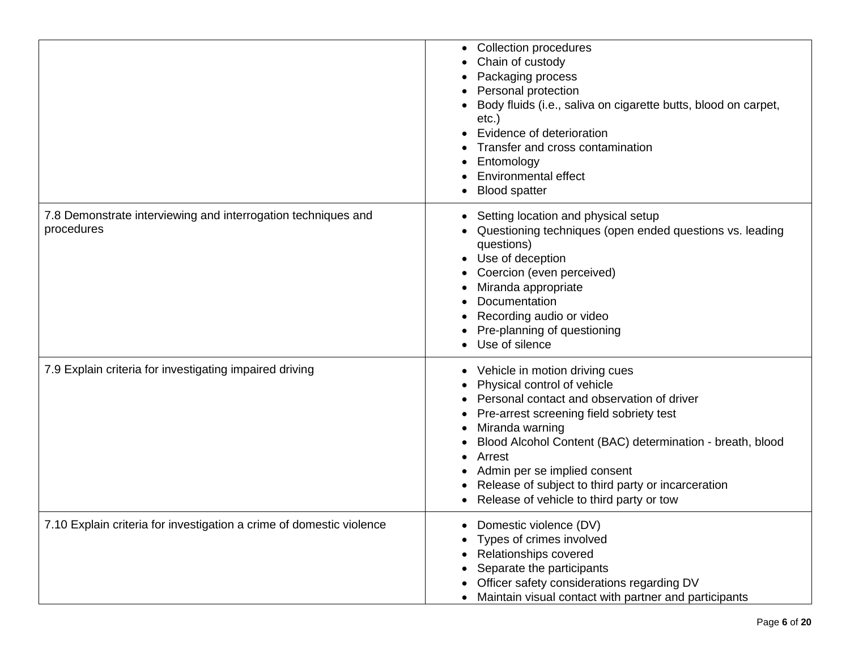|                                                                             | <b>Collection procedures</b><br>$\bullet$<br>Chain of custody<br>Packaging process<br>Personal protection<br>Body fluids (i.e., saliva on cigarette butts, blood on carpet,<br>$etc.$ )<br>Evidence of deterioration<br>Transfer and cross contamination<br>Entomology<br><b>Environmental effect</b><br><b>Blood spatter</b>                                                       |
|-----------------------------------------------------------------------------|-------------------------------------------------------------------------------------------------------------------------------------------------------------------------------------------------------------------------------------------------------------------------------------------------------------------------------------------------------------------------------------|
| 7.8 Demonstrate interviewing and interrogation techniques and<br>procedures | Setting location and physical setup<br>Questioning techniques (open ended questions vs. leading<br>questions)<br>Use of deception<br>Coercion (even perceived)<br>Miranda appropriate<br>Documentation<br>Recording audio or video<br>Pre-planning of questioning<br>Use of silence                                                                                                 |
| 7.9 Explain criteria for investigating impaired driving                     | Vehicle in motion driving cues<br>Physical control of vehicle<br>Personal contact and observation of driver<br>Pre-arrest screening field sobriety test<br>Miranda warning<br>Blood Alcohol Content (BAC) determination - breath, blood<br>Arrest<br>Admin per se implied consent<br>Release of subject to third party or incarceration<br>Release of vehicle to third party or tow |
| 7.10 Explain criteria for investigation a crime of domestic violence        | Domestic violence (DV)<br>Types of crimes involved<br>Relationships covered<br>Separate the participants<br>Officer safety considerations regarding DV<br>Maintain visual contact with partner and participants                                                                                                                                                                     |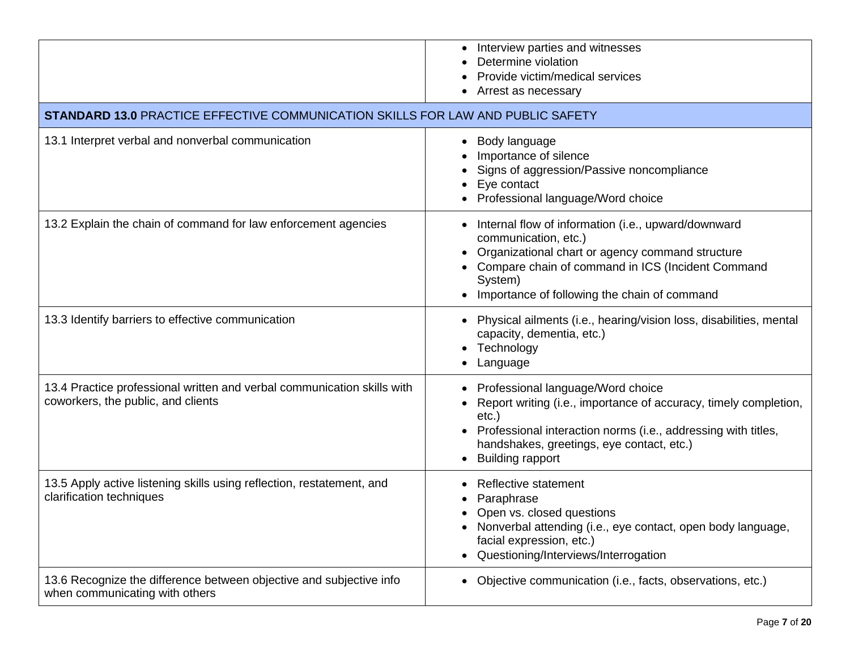|                                                                                                               | • Interview parties and witnesses<br>Determine violation<br>Provide victim/medical services<br>Arrest as necessary                                                                                                                                         |
|---------------------------------------------------------------------------------------------------------------|------------------------------------------------------------------------------------------------------------------------------------------------------------------------------------------------------------------------------------------------------------|
| <b>STANDARD 13.0 PRACTICE EFFECTIVE COMMUNICATION SKILLS FOR LAW AND PUBLIC SAFETY</b>                        |                                                                                                                                                                                                                                                            |
| 13.1 Interpret verbal and nonverbal communication                                                             | Body language<br>٠<br>Importance of silence<br>Signs of aggression/Passive noncompliance<br>Eye contact<br>Professional language/Word choice                                                                                                               |
| 13.2 Explain the chain of command for law enforcement agencies                                                | Internal flow of information (i.e., upward/downward<br>communication, etc.)<br>Organizational chart or agency command structure<br>Compare chain of command in ICS (Incident Command<br>System)<br>Importance of following the chain of command            |
| 13.3 Identify barriers to effective communication                                                             | • Physical ailments (i.e., hearing/vision loss, disabilities, mental<br>capacity, dementia, etc.)<br>Technology<br>٠<br>Language                                                                                                                           |
| 13.4 Practice professional written and verbal communication skills with<br>coworkers, the public, and clients | Professional language/Word choice<br>Report writing (i.e., importance of accuracy, timely completion,<br>$etc.$ )<br>Professional interaction norms (i.e., addressing with titles,<br>handshakes, greetings, eye contact, etc.)<br><b>Building rapport</b> |
| 13.5 Apply active listening skills using reflection, restatement, and<br>clarification techniques             | Reflective statement<br>Paraphrase<br>Open vs. closed questions<br>Nonverbal attending (i.e., eye contact, open body language,<br>$\bullet$<br>facial expression, etc.)<br>Questioning/Interviews/Interrogation                                            |
| 13.6 Recognize the difference between objective and subjective info<br>when communicating with others         | Objective communication (i.e., facts, observations, etc.)                                                                                                                                                                                                  |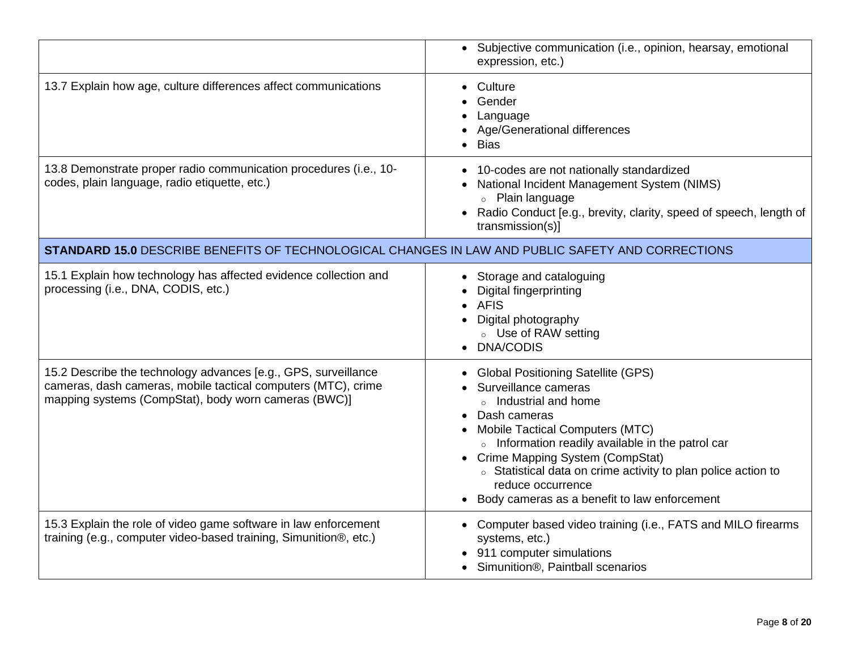|                                                                                                                                                                                         | • Subjective communication (i.e., opinion, hearsay, emotional<br>expression, etc.)                                                                                                                                                                                                                                                                                                  |
|-----------------------------------------------------------------------------------------------------------------------------------------------------------------------------------------|-------------------------------------------------------------------------------------------------------------------------------------------------------------------------------------------------------------------------------------------------------------------------------------------------------------------------------------------------------------------------------------|
| 13.7 Explain how age, culture differences affect communications                                                                                                                         | • Culture<br>Gender<br>Language<br>• Age/Generational differences<br>• Bias                                                                                                                                                                                                                                                                                                         |
| 13.8 Demonstrate proper radio communication procedures (i.e., 10-<br>codes, plain language, radio etiquette, etc.)                                                                      | • 10-codes are not nationally standardized<br>• National Incident Management System (NIMS)<br>○ Plain language<br>• Radio Conduct [e.g., brevity, clarity, speed of speech, length of<br>transmission(s)]                                                                                                                                                                           |
| STANDARD 15.0 DESCRIBE BENEFITS OF TECHNOLOGICAL CHANGES IN LAW AND PUBLIC SAFETY AND CORRECTIONS                                                                                       |                                                                                                                                                                                                                                                                                                                                                                                     |
| 15.1 Explain how technology has affected evidence collection and<br>processing (i.e., DNA, CODIS, etc.)                                                                                 | • Storage and cataloguing<br><b>Digital fingerprinting</b><br><b>AFIS</b><br>Digital photography<br>○ Use of RAW setting<br>• DNA/CODIS                                                                                                                                                                                                                                             |
| 15.2 Describe the technology advances [e.g., GPS, surveillance<br>cameras, dash cameras, mobile tactical computers (MTC), crime<br>mapping systems (CompStat), body worn cameras (BWC)] | • Global Positioning Satellite (GPS)<br>Surveillance cameras<br>○ Industrial and home<br>• Dash cameras<br><b>Mobile Tactical Computers (MTC)</b><br>o Information readily available in the patrol car<br>• Crime Mapping System (CompStat)<br>○ Statistical data on crime activity to plan police action to<br>reduce occurrence<br>• Body cameras as a benefit to law enforcement |
| 15.3 Explain the role of video game software in law enforcement<br>training (e.g., computer video-based training, Simunition®, etc.)                                                    | • Computer based video training (i.e., FATS and MILO firearms<br>systems, etc.)<br>911 computer simulations<br>• Simunition®, Paintball scenarios                                                                                                                                                                                                                                   |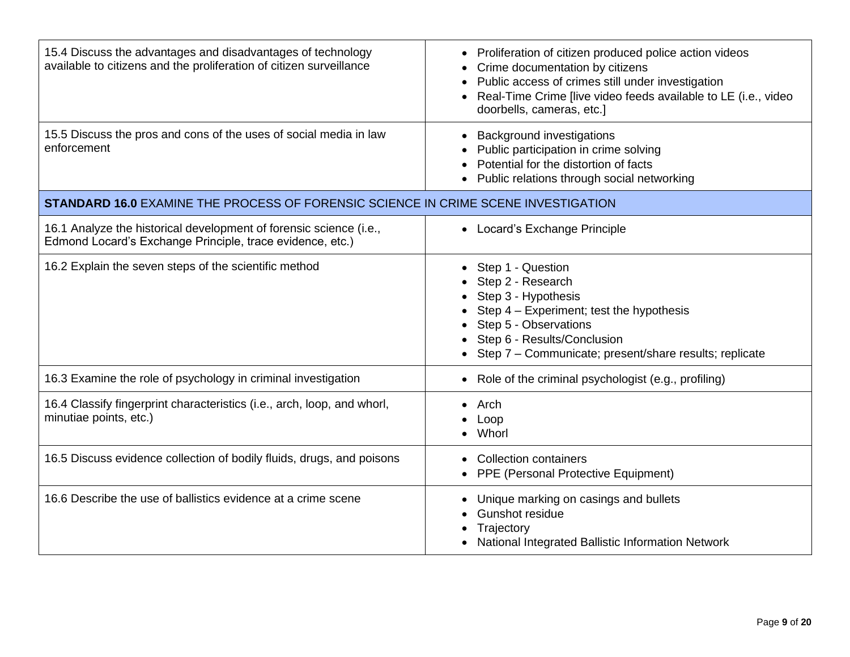| 15.4 Discuss the advantages and disadvantages of technology<br>available to citizens and the proliferation of citizen surveillance | • Proliferation of citizen produced police action videos<br>Crime documentation by citizens<br>Public access of crimes still under investigation<br>Real-Time Crime [live video feeds available to LE (i.e., video<br>doorbells, cameras, etc.] |
|------------------------------------------------------------------------------------------------------------------------------------|-------------------------------------------------------------------------------------------------------------------------------------------------------------------------------------------------------------------------------------------------|
| 15.5 Discuss the pros and cons of the uses of social media in law<br>enforcement                                                   | <b>Background investigations</b><br>Public participation in crime solving<br>Potential for the distortion of facts<br>Public relations through social networking                                                                                |
| <b>STANDARD 16.0 EXAMINE THE PROCESS OF FORENSIC SCIENCE IN CRIME SCENE INVESTIGATION</b>                                          |                                                                                                                                                                                                                                                 |
| 16.1 Analyze the historical development of forensic science (i.e.,<br>Edmond Locard's Exchange Principle, trace evidence, etc.)    | • Locard's Exchange Principle                                                                                                                                                                                                                   |
| 16.2 Explain the seven steps of the scientific method                                                                              | Step 1 - Question<br>Step 2 - Research<br>Step 3 - Hypothesis<br>Step 4 - Experiment; test the hypothesis<br>Step 5 - Observations<br>Step 6 - Results/Conclusion<br>Step 7 - Communicate; present/share results; replicate                     |
| 16.3 Examine the role of psychology in criminal investigation                                                                      | Role of the criminal psychologist (e.g., profiling)                                                                                                                                                                                             |
| 16.4 Classify fingerprint characteristics (i.e., arch, loop, and whorl,<br>minutiae points, etc.)                                  | Arch<br>Loop<br>Whorl                                                                                                                                                                                                                           |
| 16.5 Discuss evidence collection of bodily fluids, drugs, and poisons                                                              | <b>Collection containers</b><br>PPE (Personal Protective Equipment)                                                                                                                                                                             |
| 16.6 Describe the use of ballistics evidence at a crime scene                                                                      | Unique marking on casings and bullets<br><b>Gunshot residue</b><br>Trajectory<br>National Integrated Ballistic Information Network                                                                                                              |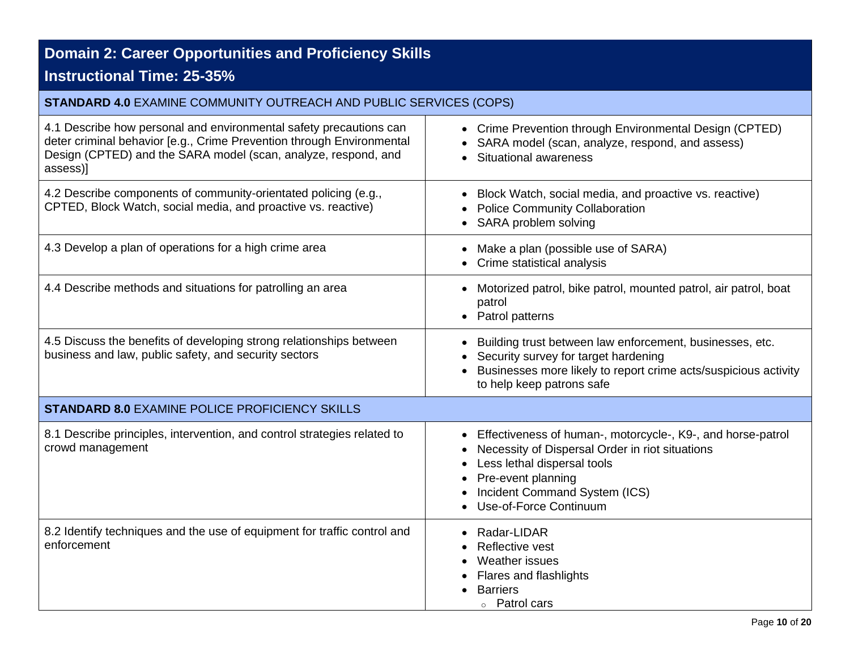# **Domain 2: Career Opportunities and Proficiency Skills**

## **Instructional Time: 25-35%**

| <b>STANDARD 4.0 EXAMINE COMMUNITY OUTREACH AND PUBLIC SERVICES (COPS)</b>                                                                                                                                                 |                                                                                                                                                                                                                                |
|---------------------------------------------------------------------------------------------------------------------------------------------------------------------------------------------------------------------------|--------------------------------------------------------------------------------------------------------------------------------------------------------------------------------------------------------------------------------|
| 4.1 Describe how personal and environmental safety precautions can<br>deter criminal behavior [e.g., Crime Prevention through Environmental<br>Design (CPTED) and the SARA model (scan, analyze, respond, and<br>assess)] | • Crime Prevention through Environmental Design (CPTED)<br>SARA model (scan, analyze, respond, and assess)<br>Situational awareness<br>$\bullet$                                                                               |
| 4.2 Describe components of community-orientated policing (e.g.,<br>CPTED, Block Watch, social media, and proactive vs. reactive)                                                                                          | Block Watch, social media, and proactive vs. reactive)<br><b>Police Community Collaboration</b><br>SARA problem solving                                                                                                        |
| 4.3 Develop a plan of operations for a high crime area                                                                                                                                                                    | Make a plan (possible use of SARA)<br>Crime statistical analysis                                                                                                                                                               |
| 4.4 Describe methods and situations for patrolling an area                                                                                                                                                                | Motorized patrol, bike patrol, mounted patrol, air patrol, boat<br>$\bullet$<br>patrol<br>Patrol patterns                                                                                                                      |
| 4.5 Discuss the benefits of developing strong relationships between<br>business and law, public safety, and security sectors                                                                                              | Building trust between law enforcement, businesses, etc.<br>$\bullet$<br>Security survey for target hardening<br>Businesses more likely to report crime acts/suspicious activity<br>to help keep patrons safe                  |
| <b>STANDARD 8.0 EXAMINE POLICE PROFICIENCY SKILLS</b>                                                                                                                                                                     |                                                                                                                                                                                                                                |
| 8.1 Describe principles, intervention, and control strategies related to<br>crowd management                                                                                                                              | Effectiveness of human-, motorcycle-, K9-, and horse-patrol<br>Necessity of Dispersal Order in riot situations<br>Less lethal dispersal tools<br>Pre-event planning<br>Incident Command System (ICS)<br>Use-of-Force Continuum |
| 8.2 Identify techniques and the use of equipment for traffic control and<br>enforcement                                                                                                                                   | Radar-LIDAR<br>Reflective vest<br>Weather issues<br>Flares and flashlights<br><b>Barriers</b><br>◦ Patrol cars                                                                                                                 |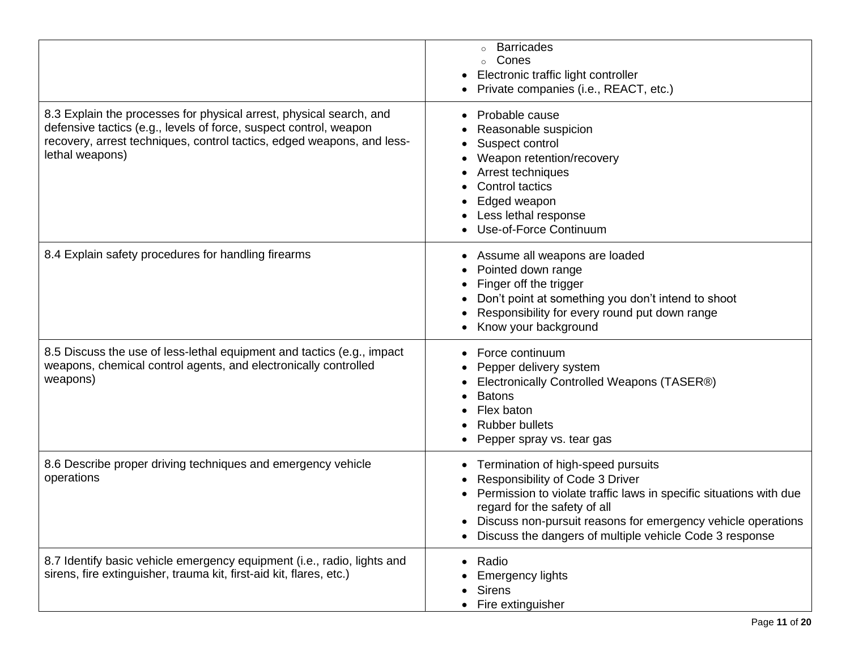|                                                                                                                                                                                                                                       | <b>Barricades</b><br>$\circ$<br>Cones<br>Electronic traffic light controller<br>Private companies (i.e., REACT, etc.)                                                                                                                                                                                  |
|---------------------------------------------------------------------------------------------------------------------------------------------------------------------------------------------------------------------------------------|--------------------------------------------------------------------------------------------------------------------------------------------------------------------------------------------------------------------------------------------------------------------------------------------------------|
| 8.3 Explain the processes for physical arrest, physical search, and<br>defensive tactics (e.g., levels of force, suspect control, weapon<br>recovery, arrest techniques, control tactics, edged weapons, and less-<br>lethal weapons) | Probable cause<br>Reasonable suspicion<br>Suspect control<br>Weapon retention/recovery<br>Arrest techniques<br>Control tactics<br>Edged weapon<br>Less lethal response<br>Use-of-Force Continuum                                                                                                       |
| 8.4 Explain safety procedures for handling firearms                                                                                                                                                                                   | Assume all weapons are loaded<br>Pointed down range<br>Finger off the trigger<br>Don't point at something you don't intend to shoot<br>Responsibility for every round put down range<br>Know your background                                                                                           |
| 8.5 Discuss the use of less-lethal equipment and tactics (e.g., impact<br>weapons, chemical control agents, and electronically controlled<br>weapons)                                                                                 | Force continuum<br>Pepper delivery system<br>Electronically Controlled Weapons (TASER®)<br><b>Batons</b><br>Flex baton<br><b>Rubber bullets</b><br>Pepper spray vs. tear gas                                                                                                                           |
| 8.6 Describe proper driving techniques and emergency vehicle<br>operations                                                                                                                                                            | Termination of high-speed pursuits<br>Responsibility of Code 3 Driver<br>Permission to violate traffic laws in specific situations with due<br>regard for the safety of all<br>Discuss non-pursuit reasons for emergency vehicle operations<br>Discuss the dangers of multiple vehicle Code 3 response |
| 8.7 Identify basic vehicle emergency equipment (i.e., radio, lights and<br>sirens, fire extinguisher, trauma kit, first-aid kit, flares, etc.)                                                                                        | Radio<br>$\bullet$<br><b>Emergency lights</b><br><b>Sirens</b><br>Fire extinguisher                                                                                                                                                                                                                    |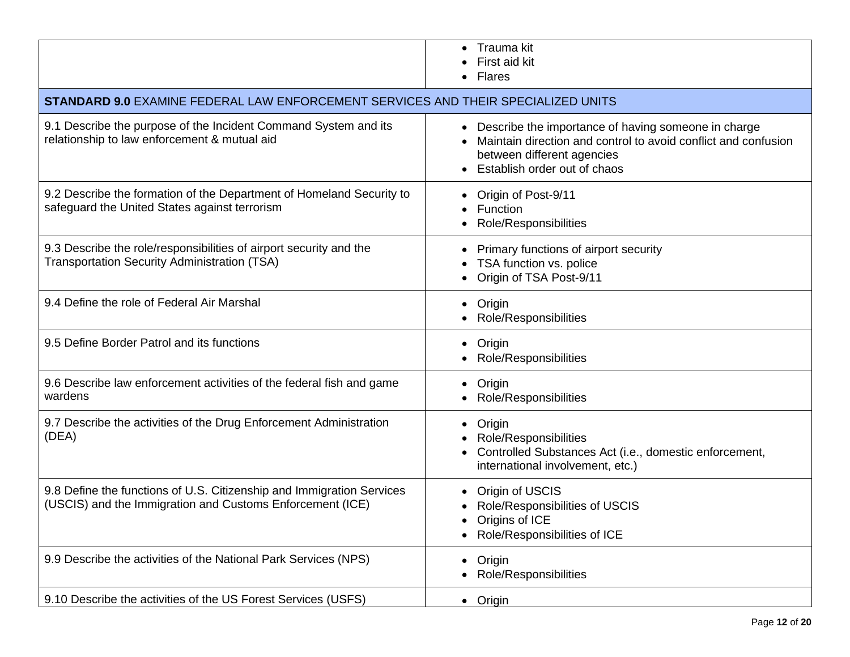|                                                                                                                                    | Trauma kit<br>First aid kit<br><b>Flares</b>                                                                                                                                          |
|------------------------------------------------------------------------------------------------------------------------------------|---------------------------------------------------------------------------------------------------------------------------------------------------------------------------------------|
| STANDARD 9.0 EXAMINE FEDERAL LAW ENFORCEMENT SERVICES AND THEIR SPECIALIZED UNITS                                                  |                                                                                                                                                                                       |
| 9.1 Describe the purpose of the Incident Command System and its<br>relationship to law enforcement & mutual aid                    | Describe the importance of having someone in charge<br>Maintain direction and control to avoid conflict and confusion<br>between different agencies<br>• Establish order out of chaos |
| 9.2 Describe the formation of the Department of Homeland Security to<br>safeguard the United States against terrorism              | Origin of Post-9/11<br>Function<br>Role/Responsibilities                                                                                                                              |
| 9.3 Describe the role/responsibilities of airport security and the<br><b>Transportation Security Administration (TSA)</b>          | Primary functions of airport security<br>TSA function vs. police<br>Origin of TSA Post-9/11                                                                                           |
| 9.4 Define the role of Federal Air Marshal                                                                                         | Origin<br>$\bullet$<br>Role/Responsibilities                                                                                                                                          |
| 9.5 Define Border Patrol and its functions                                                                                         | Origin<br>$\bullet$<br><b>Role/Responsibilities</b>                                                                                                                                   |
| 9.6 Describe law enforcement activities of the federal fish and game<br>wardens                                                    | Origin<br>$\bullet$<br>Role/Responsibilities                                                                                                                                          |
| 9.7 Describe the activities of the Drug Enforcement Administration<br>(DEA)                                                        | Origin<br>$\bullet$<br>Role/Responsibilities<br>Controlled Substances Act (i.e., domestic enforcement,<br>international involvement, etc.)                                            |
| 9.8 Define the functions of U.S. Citizenship and Immigration Services<br>(USCIS) and the Immigration and Customs Enforcement (ICE) | Origin of USCIS<br>Role/Responsibilities of USCIS<br>Origins of ICE<br>Role/Responsibilities of ICE                                                                                   |
| 9.9 Describe the activities of the National Park Services (NPS)                                                                    | Origin<br>$\bullet$<br>Role/Responsibilities                                                                                                                                          |
| 9.10 Describe the activities of the US Forest Services (USFS)                                                                      | • Origin                                                                                                                                                                              |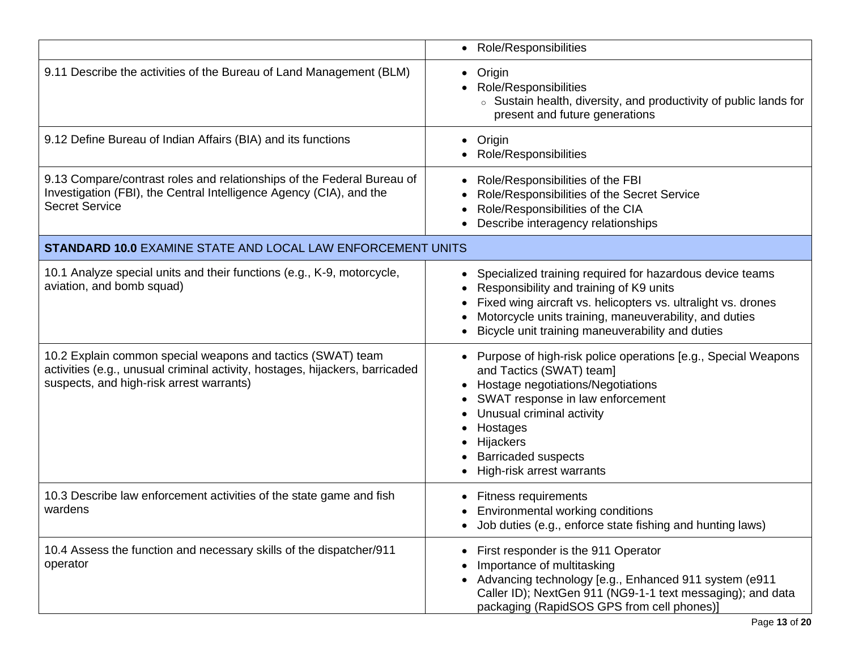|                                                                                                                                                                                         | • Role/Responsibilities                                                                                                                                                                                                                                                                         |
|-----------------------------------------------------------------------------------------------------------------------------------------------------------------------------------------|-------------------------------------------------------------------------------------------------------------------------------------------------------------------------------------------------------------------------------------------------------------------------------------------------|
| 9.11 Describe the activities of the Bureau of Land Management (BLM)                                                                                                                     | Origin<br>$\bullet$<br>Role/Responsibilities<br>○ Sustain health, diversity, and productivity of public lands for<br>present and future generations                                                                                                                                             |
| 9.12 Define Bureau of Indian Affairs (BIA) and its functions                                                                                                                            | Origin<br>٠<br>Role/Responsibilities                                                                                                                                                                                                                                                            |
| 9.13 Compare/contrast roles and relationships of the Federal Bureau of<br>Investigation (FBI), the Central Intelligence Agency (CIA), and the<br><b>Secret Service</b>                  | Role/Responsibilities of the FBI<br>Role/Responsibilities of the Secret Service<br>Role/Responsibilities of the CIA<br>Describe interagency relationships                                                                                                                                       |
| <b>STANDARD 10.0 EXAMINE STATE AND LOCAL LAW ENFORCEMENT UNITS</b>                                                                                                                      |                                                                                                                                                                                                                                                                                                 |
| 10.1 Analyze special units and their functions (e.g., K-9, motorcycle,<br>aviation, and bomb squad)                                                                                     | Specialized training required for hazardous device teams<br>$\bullet$<br>Responsibility and training of K9 units<br>Fixed wing aircraft vs. helicopters vs. ultralight vs. drones<br>Motorcycle units training, maneuverability, and duties<br>Bicycle unit training maneuverability and duties |
| 10.2 Explain common special weapons and tactics (SWAT) team<br>activities (e.g., unusual criminal activity, hostages, hijackers, barricaded<br>suspects, and high-risk arrest warrants) | Purpose of high-risk police operations [e.g., Special Weapons<br>and Tactics (SWAT) team]<br>Hostage negotiations/Negotiations<br>SWAT response in law enforcement<br>Unusual criminal activity<br>Hostages<br>Hijackers<br><b>Barricaded suspects</b><br>High-risk arrest warrants             |
| 10.3 Describe law enforcement activities of the state game and fish<br>wardens                                                                                                          | <b>Fitness requirements</b><br>Environmental working conditions<br>٠<br>• Job duties (e.g., enforce state fishing and hunting laws)                                                                                                                                                             |
| 10.4 Assess the function and necessary skills of the dispatcher/911<br>operator                                                                                                         | First responder is the 911 Operator<br>Importance of multitasking<br>Advancing technology [e.g., Enhanced 911 system (e911<br>Caller ID); NextGen 911 (NG9-1-1 text messaging); and data<br>packaging (RapidSOS GPS from cell phones)]                                                          |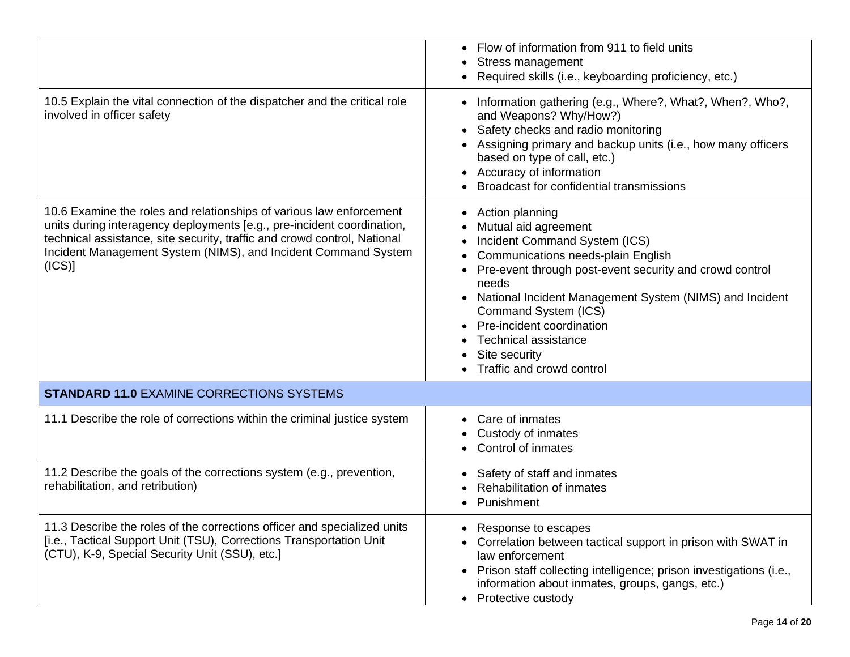|                                                                                                                                                                                                                                                                                                      | Flow of information from 911 to field units<br>Stress management<br>Required skills (i.e., keyboarding proficiency, etc.)                                                                                                                                                                                                                                                           |
|------------------------------------------------------------------------------------------------------------------------------------------------------------------------------------------------------------------------------------------------------------------------------------------------------|-------------------------------------------------------------------------------------------------------------------------------------------------------------------------------------------------------------------------------------------------------------------------------------------------------------------------------------------------------------------------------------|
| 10.5 Explain the vital connection of the dispatcher and the critical role<br>involved in officer safety                                                                                                                                                                                              | • Information gathering (e.g., Where?, What?, When?, Who?,<br>and Weapons? Why/How?)<br>Safety checks and radio monitoring<br>Assigning primary and backup units (i.e., how many officers<br>based on type of call, etc.)<br>• Accuracy of information<br>Broadcast for confidential transmissions                                                                                  |
| 10.6 Examine the roles and relationships of various law enforcement<br>units during interagency deployments [e.g., pre-incident coordination,<br>technical assistance, site security, traffic and crowd control, National<br>Incident Management System (NIMS), and Incident Command System<br>(ICS) | • Action planning<br>Mutual aid agreement<br>Incident Command System (ICS)<br>Communications needs-plain English<br>• Pre-event through post-event security and crowd control<br>needs<br>National Incident Management System (NIMS) and Incident<br>Command System (ICS)<br>Pre-incident coordination<br><b>Technical assistance</b><br>Site security<br>Traffic and crowd control |
| <b>STANDARD 11.0 EXAMINE CORRECTIONS SYSTEMS</b>                                                                                                                                                                                                                                                     |                                                                                                                                                                                                                                                                                                                                                                                     |
| 11.1 Describe the role of corrections within the criminal justice system                                                                                                                                                                                                                             | Care of inmates<br>Custody of inmates<br>Control of inmates                                                                                                                                                                                                                                                                                                                         |
| 11.2 Describe the goals of the corrections system (e.g., prevention,<br>rehabilitation, and retribution)                                                                                                                                                                                             | Safety of staff and inmates<br>Rehabilitation of inmates<br>Punishment                                                                                                                                                                                                                                                                                                              |
| 11.3 Describe the roles of the corrections officer and specialized units<br>[i.e., Tactical Support Unit (TSU), Corrections Transportation Unit<br>(CTU), K-9, Special Security Unit (SSU), etc.]                                                                                                    | Response to escapes<br>Correlation between tactical support in prison with SWAT in<br>law enforcement<br>Prison staff collecting intelligence; prison investigations (i.e.,<br>$\bullet$<br>information about inmates, groups, gangs, etc.)<br>• Protective custody                                                                                                                 |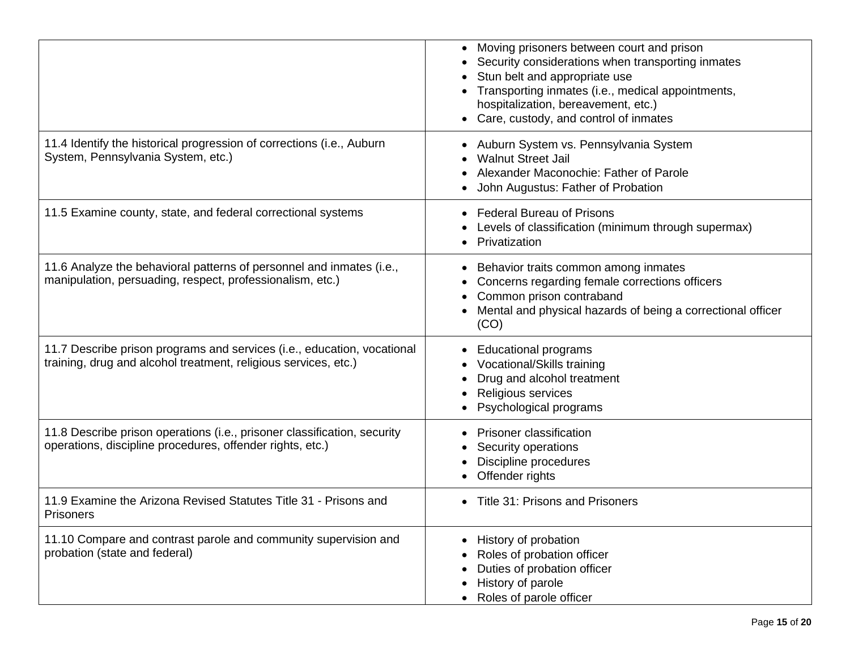|                                                                                                                                            | Moving prisoners between court and prison<br>Security considerations when transporting inmates<br>Stun belt and appropriate use<br>Transporting inmates (i.e., medical appointments,<br>hospitalization, bereavement, etc.)<br>Care, custody, and control of inmates |
|--------------------------------------------------------------------------------------------------------------------------------------------|----------------------------------------------------------------------------------------------------------------------------------------------------------------------------------------------------------------------------------------------------------------------|
| 11.4 Identify the historical progression of corrections (i.e., Auburn<br>System, Pennsylvania System, etc.)                                | Auburn System vs. Pennsylvania System<br><b>Walnut Street Jail</b><br>Alexander Maconochie: Father of Parole<br>John Augustus: Father of Probation                                                                                                                   |
| 11.5 Examine county, state, and federal correctional systems                                                                               | <b>Federal Bureau of Prisons</b><br>Levels of classification (minimum through supermax)<br>Privatization                                                                                                                                                             |
| 11.6 Analyze the behavioral patterns of personnel and inmates (i.e.,<br>manipulation, persuading, respect, professionalism, etc.)          | Behavior traits common among inmates<br>٠<br>Concerns regarding female corrections officers<br>Common prison contraband<br>Mental and physical hazards of being a correctional officer<br>(CO)                                                                       |
| 11.7 Describe prison programs and services (i.e., education, vocational<br>training, drug and alcohol treatment, religious services, etc.) | <b>Educational programs</b><br>Vocational/Skills training<br>Drug and alcohol treatment<br>Religious services<br>Psychological programs                                                                                                                              |
| 11.8 Describe prison operations (i.e., prisoner classification, security<br>operations, discipline procedures, offender rights, etc.)      | Prisoner classification<br>Security operations<br>Discipline procedures<br>Offender rights                                                                                                                                                                           |
| 11.9 Examine the Arizona Revised Statutes Title 31 - Prisons and<br>Prisoners                                                              | Title 31: Prisons and Prisoners                                                                                                                                                                                                                                      |
| 11.10 Compare and contrast parole and community supervision and<br>probation (state and federal)                                           | History of probation<br>Roles of probation officer<br>Duties of probation officer<br>History of parole<br>Roles of parole officer                                                                                                                                    |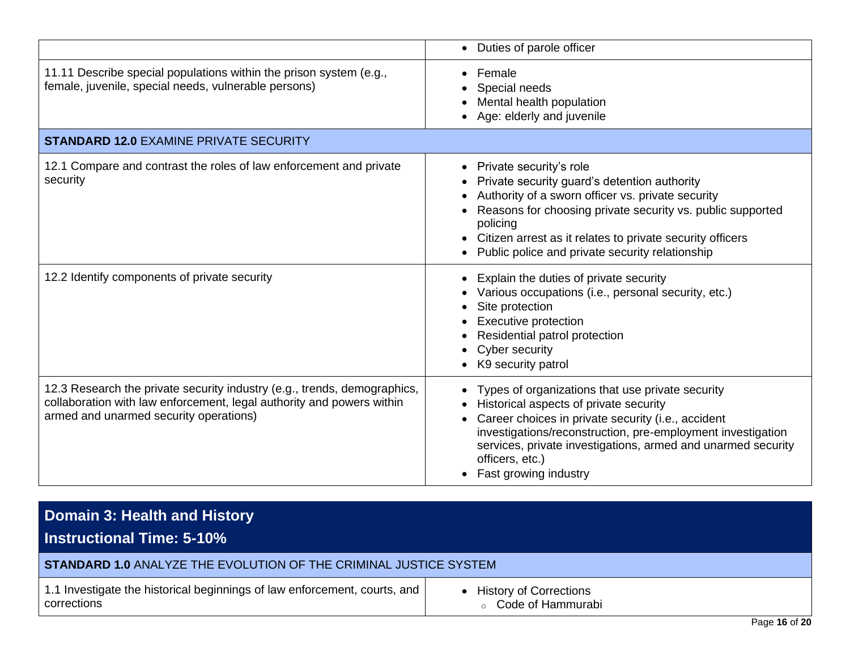|                                                                                                                                                                                             | • Duties of parole officer                                                                                                                                                                                                                                                                                                                 |
|---------------------------------------------------------------------------------------------------------------------------------------------------------------------------------------------|--------------------------------------------------------------------------------------------------------------------------------------------------------------------------------------------------------------------------------------------------------------------------------------------------------------------------------------------|
| 11.11 Describe special populations within the prison system (e.g.,<br>female, juvenile, special needs, vulnerable persons)                                                                  | Female<br>Special needs<br>Mental health population<br>Age: elderly and juvenile                                                                                                                                                                                                                                                           |
| <b>STANDARD 12.0 EXAMINE PRIVATE SECURITY</b>                                                                                                                                               |                                                                                                                                                                                                                                                                                                                                            |
| 12.1 Compare and contrast the roles of law enforcement and private<br>security                                                                                                              | • Private security's role<br>Private security guard's detention authority<br>Authority of a sworn officer vs. private security<br>Reasons for choosing private security vs. public supported<br>policing<br>• Citizen arrest as it relates to private security officers<br>Public police and private security relationship                 |
| 12.2 Identify components of private security                                                                                                                                                | Explain the duties of private security<br>Various occupations (i.e., personal security, etc.)<br>Site protection<br><b>Executive protection</b><br>Residential patrol protection<br>Cyber security<br>K9 security patrol                                                                                                                   |
| 12.3 Research the private security industry (e.g., trends, demographics,<br>collaboration with law enforcement, legal authority and powers within<br>armed and unarmed security operations) | Types of organizations that use private security<br>Historical aspects of private security<br>Career choices in private security (i.e., accident<br>$\bullet$<br>investigations/reconstruction, pre-employment investigation<br>services, private investigations, armed and unarmed security<br>officers, etc.)<br>• Fast growing industry |

#### **Domain 3: Health and History Instructional Time: 5-10% STANDARD 1.0** ANALYZE THE EVOLUTION OF THE CRIMINAL JUSTICE SYSTEM 1.1 Investigate the historical beginnings of law enforcement, courts, and corrections • History of Corrections o Code of Hammurabi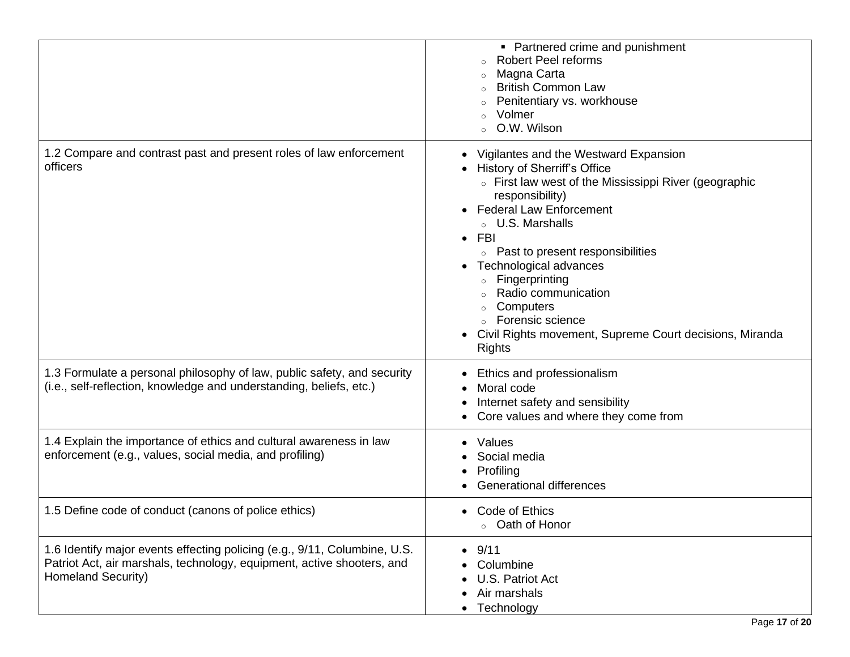|                                                                                                                                                                           | • Partnered crime and punishment<br><b>Robert Peel reforms</b><br>Magna Carta<br><b>British Common Law</b><br>$\circ$<br>Penitentiary vs. workhouse<br>Volmer<br>O.W. Wilson                                                                                                                                                                                                                                                                                          |
|---------------------------------------------------------------------------------------------------------------------------------------------------------------------------|-----------------------------------------------------------------------------------------------------------------------------------------------------------------------------------------------------------------------------------------------------------------------------------------------------------------------------------------------------------------------------------------------------------------------------------------------------------------------|
| 1.2 Compare and contrast past and present roles of law enforcement<br>officers                                                                                            | Vigilantes and the Westward Expansion<br>• History of Sherriff's Office<br>• First law west of the Mississippi River (geographic<br>responsibility)<br>• Federal Law Enforcement<br><b>U.S. Marshalls</b><br><b>FBI</b><br>• Past to present responsibilities<br>Technological advances<br>Fingerprinting<br>$\circ$<br>Radio communication<br>Computers<br>$\circ$<br>○ Forensic science<br>Civil Rights movement, Supreme Court decisions, Miranda<br><b>Rights</b> |
| 1.3 Formulate a personal philosophy of law, public safety, and security<br>(i.e., self-reflection, knowledge and understanding, beliefs, etc.)                            | Ethics and professionalism<br>Moral code<br>Internet safety and sensibility<br>٠<br>Core values and where they come from                                                                                                                                                                                                                                                                                                                                              |
| 1.4 Explain the importance of ethics and cultural awareness in law<br>enforcement (e.g., values, social media, and profiling)                                             | Values<br>Social media<br>Profiling<br><b>Generational differences</b>                                                                                                                                                                                                                                                                                                                                                                                                |
| 1.5 Define code of conduct (canons of police ethics)                                                                                                                      | Code of Ethics<br>$\bullet$<br>Oath of Honor<br>$\circ$                                                                                                                                                                                                                                                                                                                                                                                                               |
| 1.6 Identify major events effecting policing (e.g., 9/11, Columbine, U.S.<br>Patriot Act, air marshals, technology, equipment, active shooters, and<br>Homeland Security) | 9/11<br>$\bullet$<br>Columbine<br>U.S. Patriot Act<br>Air marshals<br>Technology<br>$\bullet$                                                                                                                                                                                                                                                                                                                                                                         |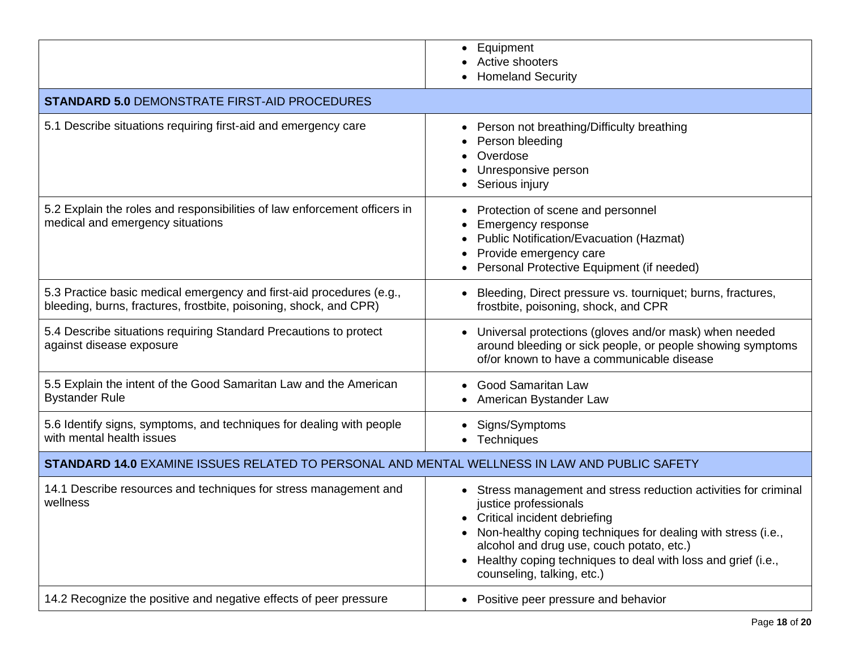|                                                                                                                                           | Equipment<br>$\bullet$<br>Active shooters<br><b>Homeland Security</b>                                                                                                                                                                                                                                                                             |
|-------------------------------------------------------------------------------------------------------------------------------------------|---------------------------------------------------------------------------------------------------------------------------------------------------------------------------------------------------------------------------------------------------------------------------------------------------------------------------------------------------|
| <b>STANDARD 5.0 DEMONSTRATE FIRST-AID PROCEDURES</b>                                                                                      |                                                                                                                                                                                                                                                                                                                                                   |
| 5.1 Describe situations requiring first-aid and emergency care                                                                            | Person not breathing/Difficulty breathing<br>٠<br>Person bleeding<br>Overdose<br>Unresponsive person<br>Serious injury                                                                                                                                                                                                                            |
| 5.2 Explain the roles and responsibilities of law enforcement officers in<br>medical and emergency situations                             | Protection of scene and personnel<br><b>Emergency response</b><br>Public Notification/Evacuation (Hazmat)<br>Provide emergency care<br>Personal Protective Equipment (if needed)                                                                                                                                                                  |
| 5.3 Practice basic medical emergency and first-aid procedures (e.g.,<br>bleeding, burns, fractures, frostbite, poisoning, shock, and CPR) | Bleeding, Direct pressure vs. tourniquet; burns, fractures,<br>frostbite, poisoning, shock, and CPR                                                                                                                                                                                                                                               |
| 5.4 Describe situations requiring Standard Precautions to protect<br>against disease exposure                                             | • Universal protections (gloves and/or mask) when needed<br>around bleeding or sick people, or people showing symptoms<br>of/or known to have a communicable disease                                                                                                                                                                              |
| 5.5 Explain the intent of the Good Samaritan Law and the American<br><b>Bystander Rule</b>                                                | <b>Good Samaritan Law</b><br>American Bystander Law                                                                                                                                                                                                                                                                                               |
| 5.6 Identify signs, symptoms, and techniques for dealing with people<br>with mental health issues                                         | Signs/Symptoms<br>Techniques                                                                                                                                                                                                                                                                                                                      |
| <b>STANDARD 14.0 EXAMINE ISSUES RELATED TO PERSONAL AND MENTAL WELLNESS IN LAW AND PUBLIC SAFETY</b>                                      |                                                                                                                                                                                                                                                                                                                                                   |
| 14.1 Describe resources and techniques for stress management and<br>wellness                                                              | • Stress management and stress reduction activities for criminal<br>justice professionals<br>Critical incident debriefing<br>Non-healthy coping techniques for dealing with stress (i.e.,<br>alcohol and drug use, couch potato, etc.)<br>Healthy coping techniques to deal with loss and grief (i.e.,<br>$\bullet$<br>counseling, talking, etc.) |
| 14.2 Recognize the positive and negative effects of peer pressure                                                                         | Positive peer pressure and behavior<br>$\bullet$                                                                                                                                                                                                                                                                                                  |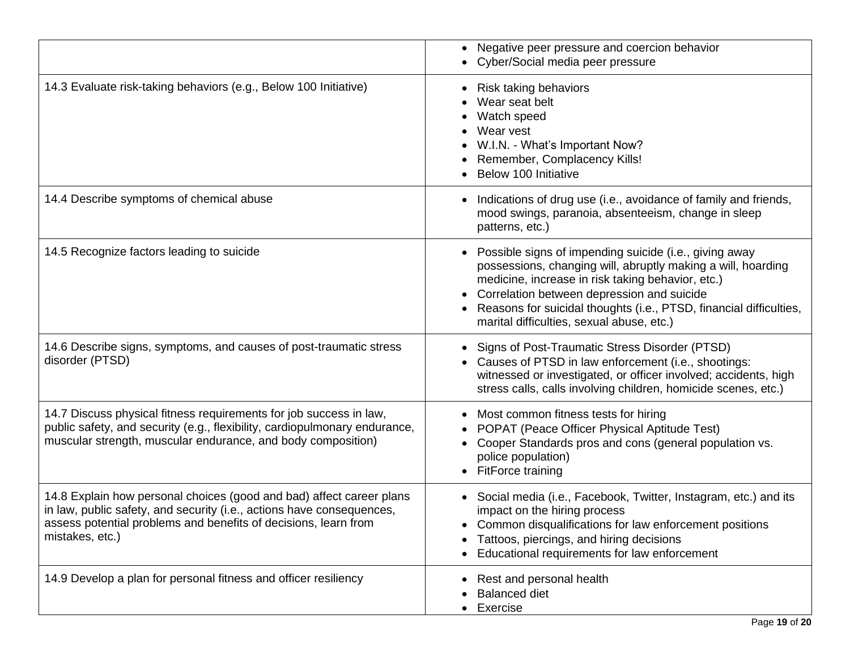|                                                                                                                                                                                                                                     | • Negative peer pressure and coercion behavior<br>• Cyber/Social media peer pressure                                                                                                                                                                                                                                                               |
|-------------------------------------------------------------------------------------------------------------------------------------------------------------------------------------------------------------------------------------|----------------------------------------------------------------------------------------------------------------------------------------------------------------------------------------------------------------------------------------------------------------------------------------------------------------------------------------------------|
| 14.3 Evaluate risk-taking behaviors (e.g., Below 100 Initiative)                                                                                                                                                                    | Risk taking behaviors<br>Wear seat belt<br>Watch speed<br>Wear vest<br>W.I.N. - What's Important Now?<br>Remember, Complacency Kills!<br>Below 100 Initiative                                                                                                                                                                                      |
| 14.4 Describe symptoms of chemical abuse                                                                                                                                                                                            | Indications of drug use (i.e., avoidance of family and friends,<br>mood swings, paranoia, absenteeism, change in sleep<br>patterns, etc.)                                                                                                                                                                                                          |
| 14.5 Recognize factors leading to suicide                                                                                                                                                                                           | • Possible signs of impending suicide (i.e., giving away<br>possessions, changing will, abruptly making a will, hoarding<br>medicine, increase in risk taking behavior, etc.)<br>• Correlation between depression and suicide<br>• Reasons for suicidal thoughts (i.e., PTSD, financial difficulties,<br>marital difficulties, sexual abuse, etc.) |
| 14.6 Describe signs, symptoms, and causes of post-traumatic stress<br>disorder (PTSD)                                                                                                                                               | • Signs of Post-Traumatic Stress Disorder (PTSD)<br>• Causes of PTSD in law enforcement (i.e., shootings:<br>witnessed or investigated, or officer involved; accidents, high<br>stress calls, calls involving children, homicide scenes, etc.)                                                                                                     |
| 14.7 Discuss physical fitness requirements for job success in law,<br>public safety, and security (e.g., flexibility, cardiopulmonary endurance,<br>muscular strength, muscular endurance, and body composition)                    | Most common fitness tests for hiring<br>$\bullet$<br>POPAT (Peace Officer Physical Aptitude Test)<br>Cooper Standards pros and cons (general population vs.<br>police population)<br>• FitForce training                                                                                                                                           |
| 14.8 Explain how personal choices (good and bad) affect career plans<br>in law, public safety, and security (i.e., actions have consequences,<br>assess potential problems and benefits of decisions, learn from<br>mistakes, etc.) | Social media (i.e., Facebook, Twitter, Instagram, etc.) and its<br>impact on the hiring process<br>Common disqualifications for law enforcement positions<br>Tattoos, piercings, and hiring decisions<br>Educational requirements for law enforcement                                                                                              |
| 14.9 Develop a plan for personal fitness and officer resiliency                                                                                                                                                                     | Rest and personal health<br><b>Balanced diet</b><br>• Exercise                                                                                                                                                                                                                                                                                     |